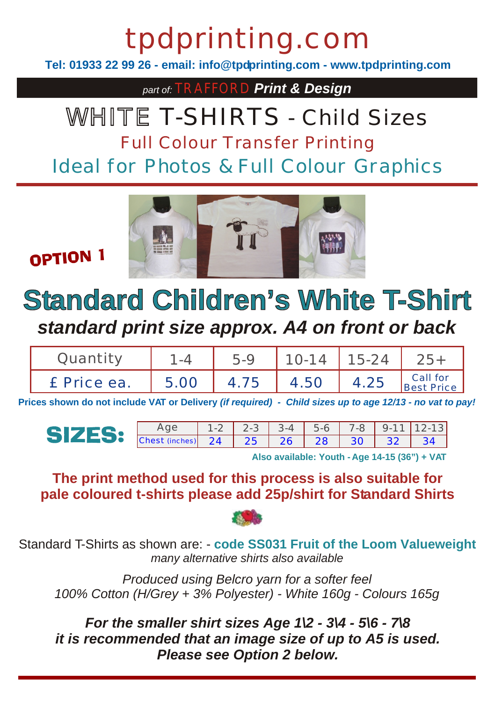# tpdprinting.com

**Tel: 01933 22 99 26 - email: info@tpdprinting.com - www.tpdprinting.com**

*part of:* TRAFFORD *Print & Design*

### WHITE T-SHIRTS - Child Sizes Full Colour Transfer Printing

Ideal for Photos & Full Colour Graphics



**OPTION 1** 

### **Standard Children's White T-Shirt** *standard print size approx. A4 on front or back*

| Juantity    |      | 5-9  | $10-14$ | 15-24 |                        |
|-------------|------|------|---------|-------|------------------------|
| £ Price ea. | 5.00 | 4.75 | 4.50    | 4.25  | Call for<br>Best Price |

**Prices shown do not include VAT or Delivery** *(if required) - Child sizes up to age 12/13 - no vat to pay!*

Age | 1-2 | 2-3 | 3-4 | 5-6 | 7-8 | 9-11 | 12-13 | **SIZES:** Chest (inches) 24 | 25 | 26 | 28 | 30 | 32 | 34

**Also available: Youth - Age 14-15 (36") + VAT**

#### **The print method used for this process is also suitable for pale coloured t-shirts please add 25p/shirt for Standard Shirts**



Standard T-Shirts as shown are: - **code SS031 Fruit of the Loom Valueweight** *many alternative shirts also available*

*Produced using Belcro yarn for a softer feel 100% Cotton (H/Grey + 3% Polyester) - White 160g - Colours 165g*

*For the smaller shirt sizes Age 1\2 - 3\4 - 5\6 - 7\8 it is recommended that an image size of up to A5 is used. Please see Option 2 below.*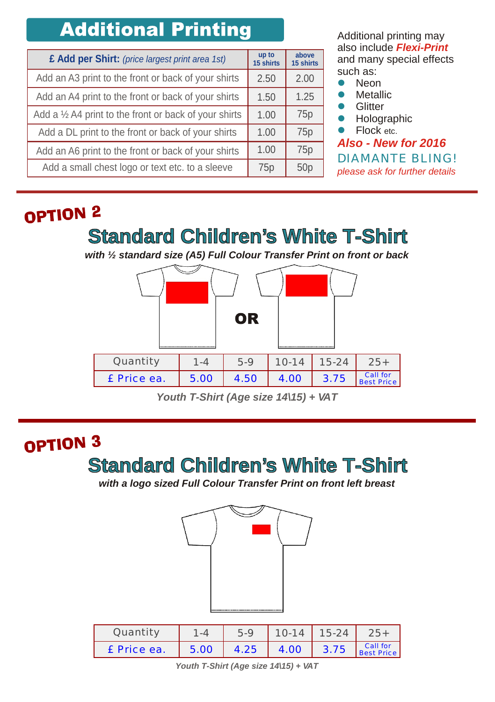### **Additional Printing**

| £ Add per Shirt: (price largest print area 1st)                  | up to<br>15 shirts | above<br>15 shirts |
|------------------------------------------------------------------|--------------------|--------------------|
| Add an A3 print to the front or back of your shirts              | 2.50               | 2.00               |
| Add an A4 print to the front or back of your shirts              | 1.50               | 1.25               |
| Add a $\frac{1}{2}$ A4 print to the front or back of your shirts | 1.00               | 75p                |
| Add a DL print to the front or back of your shirts               | 1.00               | 75 <sub>p</sub>    |
| Add an A6 print to the front or back of your shirts              | 1.00               | 75 <sub>p</sub>    |
| Add a small chest logo or text etc. to a sleeve                  | 75p                | 50 <sub>p</sub>    |

Additional printing may also include *Flexi-Print* and many special effects such as:

- Neon  $\bullet$
- **Metallic**  $\bullet$
- **Glitter**  $\bullet$
- Holographic  $\bullet$
- Flock etc.  $\bullet$

*Also - New for 2016 please ask for further details* DIAMANTE BLING!

#### OPTION<sub>2</sub>

**Standard Children's White T-Shirt**

*with ½ standard size (A5) Full Colour Transfer Print on front or back*



*Youth T-Shirt (Age size 14\15) + VAT*

#### OPTION<sub>3</sub>

#### **Standard Children's White T-Shirt**

*with a logo sized Full Colour Transfer Print on front left breast*



| Quantitv    |      | 5.9  | $10 - 14$ | $15 - 24$ |                        |
|-------------|------|------|-----------|-----------|------------------------|
| £ Price ea. | 5.00 | 4.25 | 4.00      | 3.75      | Call for<br>Best Price |

*Youth T-Shirt (Age size 14\15) + VAT*